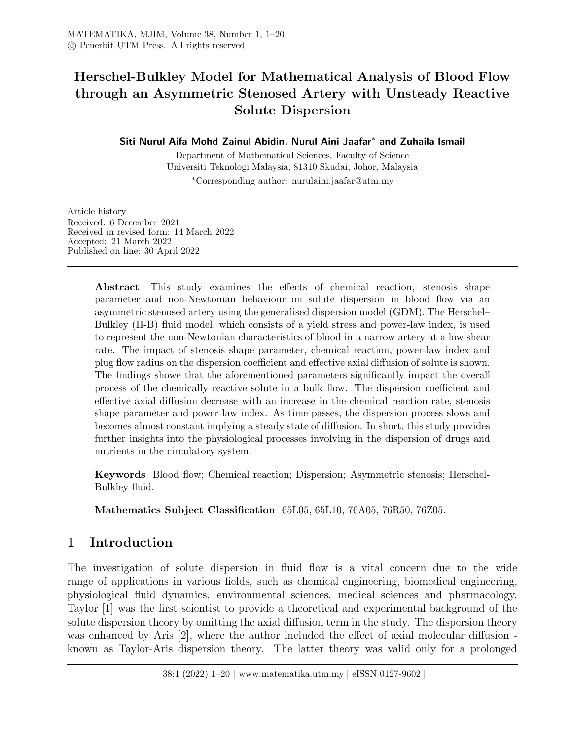# Herschel-Bulkley Model for Mathematical Analysis of Blood Flow through an Asymmetric Stenosed Artery with Unsteady Reactive Solute Dispersion

### Siti Nurul Aifa Mohd Zainul Abidin, Nurul Aini Jaafar<sup>∗</sup> and Zuhaila Ismail

Department of Mathematical Sciences, Faculty of Science Universiti Teknologi Malaysia, 81310 Skudai, Johor, Malaysia

<sup>∗</sup>Corresponding author: nurulaini.jaafar@utm.my

Article history Received: 6 December 2021 Received in revised form: 14 March 2022 Accepted: 21 March 2022 Published on line: 30 April 2022

> Abstract This study examines the effects of chemical reaction, stenosis shape parameter and non-Newtonian behaviour on solute dispersion in blood flow via an asymmetric stenosed artery using the generalised dispersion model (GDM). The Herschel– Bulkley (H-B) fluid model, which consists of a yield stress and power-law index, is used to represent the non-Newtonian characteristics of blood in a narrow artery at a low shear rate. The impact of stenosis shape parameter, chemical reaction, power-law index and plug flow radius on the dispersion coefficient and effective axial diffusion of solute is shown. The findings showe that the aforementioned parameters significantly impact the overall process of the chemically reactive solute in a bulk flow. The dispersion coefficient and effective axial diffusion decrease with an increase in the chemical reaction rate, stenosis shape parameter and power-law index. As time passes, the dispersion process slows and becomes almost constant implying a steady state of diffusion. In short, this study provides further insights into the physiological processes involving in the dispersion of drugs and nutrients in the circulatory system.

> Keywords Blood flow; Chemical reaction; Dispersion; Asymmetric stenosis; Herschel-Bulkley fluid.

Mathematics Subject Classification 65L05, 65L10, 76A05, 76R50, 76Z05.

# 1 Introduction

The investigation of solute dispersion in fluid flow is a vital concern due to the wide range of applications in various fields, such as chemical engineering, biomedical engineering, physiological fluid dynamics, environmental sciences, medical sciences and pharmacology. Taylor [1] was the first scientist to provide a theoretical and experimental background of the solute dispersion theory by omitting the axial diffusion term in the study. The dispersion theory was enhanced by Aris [2], where the author included the effect of axial molecular diffusion known as Taylor-Aris dispersion theory. The latter theory was valid only for a prolonged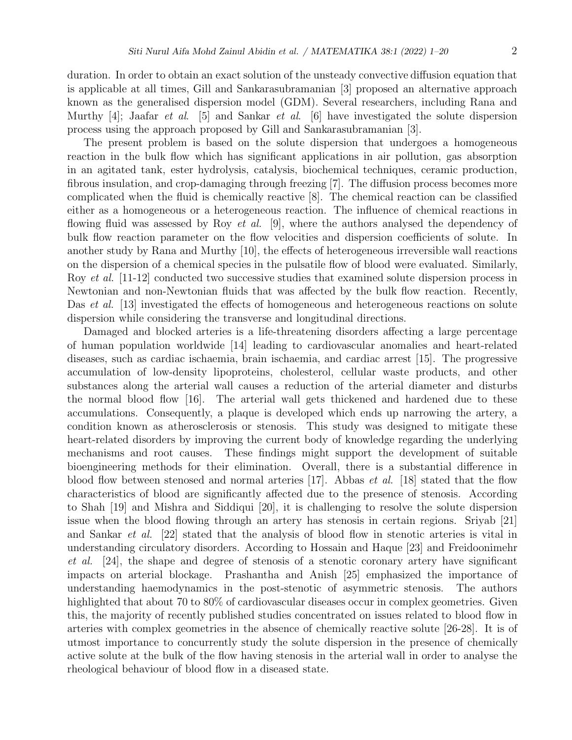duration. In order to obtain an exact solution of the unsteady convective diffusion equation that is applicable at all times, Gill and Sankarasubramanian [3] proposed an alternative approach known as the generalised dispersion model (GDM). Several researchers, including Rana and Murthy [4]; Jaafar *et al.* [5] and Sankar *et al.* [6] have investigated the solute dispersion process using the approach proposed by Gill and Sankarasubramanian [3].

The present problem is based on the solute dispersion that undergoes a homogeneous reaction in the bulk flow which has significant applications in air pollution, gas absorption in an agitated tank, ester hydrolysis, catalysis, biochemical techniques, ceramic production, fibrous insulation, and crop-damaging through freezing [7]. The diffusion process becomes more complicated when the fluid is chemically reactive [8]. The chemical reaction can be classified either as a homogeneous or a heterogeneous reaction. The influence of chemical reactions in flowing fluid was assessed by Roy *et al.* [9], where the authors analysed the dependency of bulk flow reaction parameter on the flow velocities and dispersion coefficients of solute. In another study by Rana and Murthy [10], the effects of heterogeneous irreversible wall reactions on the dispersion of a chemical species in the pulsatile flow of blood were evaluated. Similarly, Roy *et al.* [11-12] conducted two successive studies that examined solute dispersion process in Newtonian and non-Newtonian fluids that was affected by the bulk flow reaction. Recently, Das *et al.* [13] investigated the effects of homogeneous and heterogeneous reactions on solute dispersion while considering the transverse and longitudinal directions.

Damaged and blocked arteries is a life-threatening disorders affecting a large percentage of human population worldwide [14] leading to cardiovascular anomalies and heart-related diseases, such as cardiac ischaemia, brain ischaemia, and cardiac arrest [15]. The progressive accumulation of low-density lipoproteins, cholesterol, cellular waste products, and other substances along the arterial wall causes a reduction of the arterial diameter and disturbs the normal blood flow [16]. The arterial wall gets thickened and hardened due to these accumulations. Consequently, a plaque is developed which ends up narrowing the artery, a condition known as atherosclerosis or stenosis. This study was designed to mitigate these heart-related disorders by improving the current body of knowledge regarding the underlying mechanisms and root causes. These findings might support the development of suitable bioengineering methods for their elimination. Overall, there is a substantial difference in blood flow between stenosed and normal arteries  $[17]$ . Abbas *et al.* [18] stated that the flow characteristics of blood are significantly affected due to the presence of stenosis. According to Shah [19] and Mishra and Siddiqui [20], it is challenging to resolve the solute dispersion issue when the blood flowing through an artery has stenosis in certain regions. Sriyab [21] and Sankar et al. [22] stated that the analysis of blood flow in stenotic arteries is vital in understanding circulatory disorders. According to Hossain and Haque [23] and Freidoonimehr et al. [24], the shape and degree of stenosis of a stenotic coronary artery have significant impacts on arterial blockage. Prashantha and Anish [25] emphasized the importance of understanding haemodynamics in the post-stenotic of asymmetric stenosis. The authors highlighted that about 70 to 80% of cardiovascular diseases occur in complex geometries. Given this, the majority of recently published studies concentrated on issues related to blood flow in arteries with complex geometries in the absence of chemically reactive solute [26-28]. It is of utmost importance to concurrently study the solute dispersion in the presence of chemically active solute at the bulk of the flow having stenosis in the arterial wall in order to analyse the rheological behaviour of blood flow in a diseased state.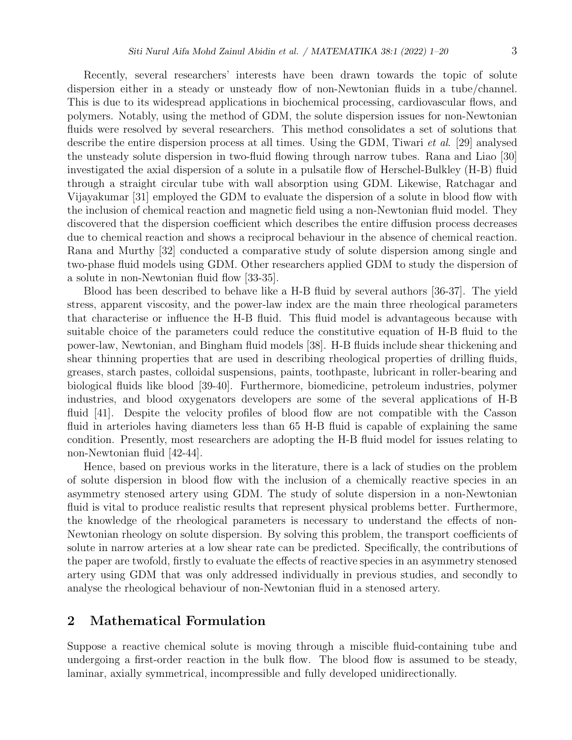Recently, several researchers' interests have been drawn towards the topic of solute dispersion either in a steady or unsteady flow of non-Newtonian fluids in a tube/channel. This is due to its widespread applications in biochemical processing, cardiovascular flows, and polymers. Notably, using the method of GDM, the solute dispersion issues for non-Newtonian fluids were resolved by several researchers. This method consolidates a set of solutions that describe the entire dispersion process at all times. Using the GDM, Tiwari et al. [29] analysed the unsteady solute dispersion in two-fluid flowing through narrow tubes. Rana and Liao [30] investigated the axial dispersion of a solute in a pulsatile flow of Herschel-Bulkley (H-B) fluid through a straight circular tube with wall absorption using GDM. Likewise, Ratchagar and Vijayakumar [31] employed the GDM to evaluate the dispersion of a solute in blood flow with the inclusion of chemical reaction and magnetic field using a non-Newtonian fluid model. They discovered that the dispersion coefficient which describes the entire diffusion process decreases due to chemical reaction and shows a reciprocal behaviour in the absence of chemical reaction. Rana and Murthy [32] conducted a comparative study of solute dispersion among single and two-phase fluid models using GDM. Other researchers applied GDM to study the dispersion of a solute in non-Newtonian fluid flow [33-35].

Blood has been described to behave like a H-B fluid by several authors [36-37]. The yield stress, apparent viscosity, and the power-law index are the main three rheological parameters that characterise or influence the H-B fluid. This fluid model is advantageous because with suitable choice of the parameters could reduce the constitutive equation of H-B fluid to the power-law, Newtonian, and Bingham fluid models [38]. H-B fluids include shear thickening and shear thinning properties that are used in describing rheological properties of drilling fluids, greases, starch pastes, colloidal suspensions, paints, toothpaste, lubricant in roller-bearing and biological fluids like blood [39-40]. Furthermore, biomedicine, petroleum industries, polymer industries, and blood oxygenators developers are some of the several applications of H-B fluid [41]. Despite the velocity profiles of blood flow are not compatible with the Casson fluid in arterioles having diameters less than 65 H-B fluid is capable of explaining the same condition. Presently, most researchers are adopting the H-B fluid model for issues relating to non-Newtonian fluid [42-44].

Hence, based on previous works in the literature, there is a lack of studies on the problem of solute dispersion in blood flow with the inclusion of a chemically reactive species in an asymmetry stenosed artery using GDM. The study of solute dispersion in a non-Newtonian fluid is vital to produce realistic results that represent physical problems better. Furthermore, the knowledge of the rheological parameters is necessary to understand the effects of non-Newtonian rheology on solute dispersion. By solving this problem, the transport coefficients of solute in narrow arteries at a low shear rate can be predicted. Specifically, the contributions of the paper are twofold, firstly to evaluate the effects of reactive species in an asymmetry stenosed artery using GDM that was only addressed individually in previous studies, and secondly to analyse the rheological behaviour of non-Newtonian fluid in a stenosed artery.

## 2 Mathematical Formulation

Suppose a reactive chemical solute is moving through a miscible fluid-containing tube and undergoing a first-order reaction in the bulk flow. The blood flow is assumed to be steady, laminar, axially symmetrical, incompressible and fully developed unidirectionally.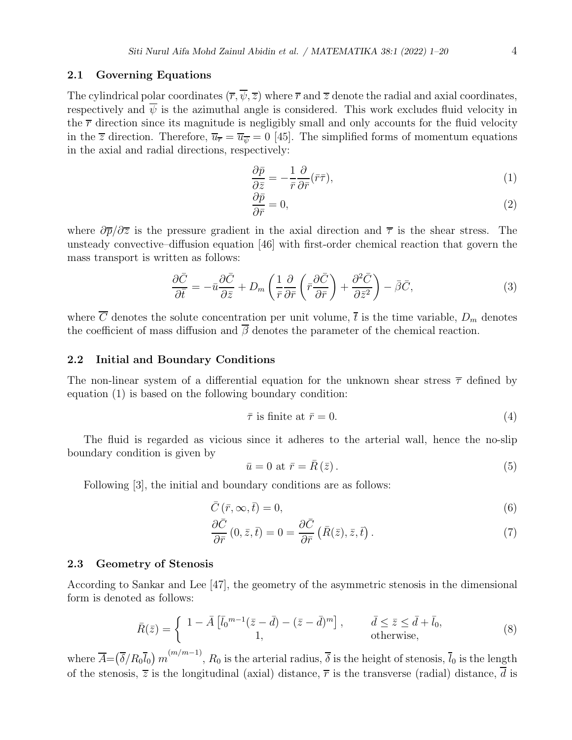#### 2.1 Governing Equations

The cylindrical polar coordinates  $(\overline{r}, \overline{\psi}, \overline{z})$  where  $\overline{r}$  and  $\overline{z}$  denote the radial and axial coordinates, respectively and  $\overline{\psi}$  is the azimuthal angle is considered. This work excludes fluid velocity in the  $\bar{r}$  direction since its magnitude is negligibly small and only accounts for the fluid velocity in the  $\overline{z}$  direction. Therefore,  $\overline{u}_{\overline{r}} = \overline{u}_{\overline{v}} = 0$  [45]. The simplified forms of momentum equations in the axial and radial directions, respectively:

$$
\frac{\partial \bar{p}}{\partial \bar{z}} = -\frac{1}{\bar{r}} \frac{\partial}{\partial \bar{r}} (\bar{r}\bar{\tau}),\tag{1}
$$

$$
\frac{\partial \bar{p}}{\partial \bar{r}} = 0,\tag{2}
$$

where  $\partial \overline{p}/\partial \overline{z}$  is the pressure gradient in the axial direction and  $\overline{\tau}$  is the shear stress. The unsteady convective–diffusion equation [46] with first-order chemical reaction that govern the mass transport is written as follows:

$$
\frac{\partial \bar{C}}{\partial \bar{t}} = -\bar{u}\frac{\partial \bar{C}}{\partial \bar{z}} + D_m \left( \frac{1}{\bar{r}} \frac{\partial}{\partial \bar{r}} \left( \bar{r} \frac{\partial \bar{C}}{\partial \bar{r}} \right) + \frac{\partial^2 \bar{C}}{\partial \bar{z}^2} \right) - \bar{\beta}\bar{C},\tag{3}
$$

where  $\overline{C}$  denotes the solute concentration per unit volume,  $\overline{t}$  is the time variable,  $D_m$  denotes the coefficient of mass diffusion and  $\overline{\beta}$  denotes the parameter of the chemical reaction.

#### 2.2 Initial and Boundary Conditions

The non-linear system of a differential equation for the unknown shear stress  $\bar{\tau}$  defined by equation (1) is based on the following boundary condition:

$$
\bar{\tau} \text{ is finite at } \bar{r} = 0. \tag{4}
$$

The fluid is regarded as vicious since it adheres to the arterial wall, hence the no-slip boundary condition is given by

$$
\bar{u} = 0 \text{ at } \bar{r} = \bar{R}(\bar{z}).\tag{5}
$$

Following [3], the initial and boundary conditions are as follows:

$$
\bar{C}(\bar{r},\infty,\bar{t})=0,\t\t(6)
$$

$$
\frac{\partial \bar{C}}{\partial \bar{r}}(0,\bar{z},\bar{t}) = 0 = \frac{\partial \bar{C}}{\partial \bar{r}}(\bar{R}(\bar{z}),\bar{z},\bar{t}).
$$
\n(7)

#### 2.3 Geometry of Stenosis

According to Sankar and Lee [47], the geometry of the asymmetric stenosis in the dimensional form is denoted as follows:

$$
\bar{R}(\bar{z}) = \begin{cases}\n1 - \bar{A} \left[ \bar{l}_0^{m-1} (\bar{z} - \bar{d}) - (\bar{z} - \bar{d})^m \right], & \bar{d} \leq \bar{z} \leq \bar{d} + \bar{l}_0, \\
1, & \text{otherwise,} \n\end{cases}
$$
\n(8)

where  $\overline{A}=(\overline{\delta}/R_0\overline{l}_0) m^{(m/m-1)}$ ,  $R_0$  is the arterial radius,  $\overline{\delta}$  is the height of stenosis,  $\overline{l}_0$  is the length of the stenosis,  $\overline{z}$  is the longitudinal (axial) distance,  $\overline{r}$  is the transverse (radial) distance, d is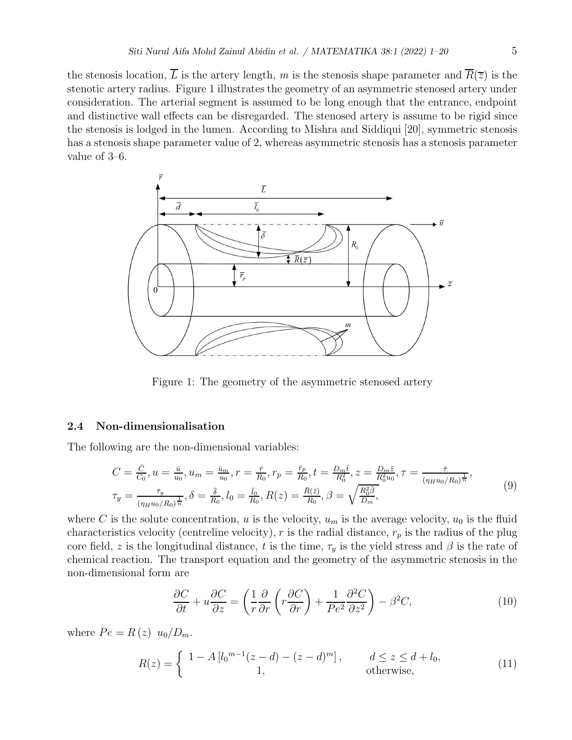the stenosis location,  $\overline{L}$  is the artery length, m is the stenosis shape parameter and  $\overline{R}(\overline{z})$  is the stenotic artery radius. Figure 1 illustrates the geometry of an asymmetric stenosed artery under consideration. The arterial segment is assumed to be long enough that the entrance, endpoint and distinctive wall effects can be disregarded. The stenosed artery is assume to be rigid since the stenosis is lodged in the lumen. According to Mishra and Siddiqui [20], symmetric stenosis has a stenosis shape parameter value of 2, whereas asymmetric stenosis has a stenosis parameter value of 3–6.



Figure 1: The geometry of the asymmetric stenosed artery

#### 2.4 Non-dimensionalisation

The following are the non-dimensional variables:

$$
C = \frac{\bar{C}}{\bar{C}_0}, u = \frac{\bar{u}}{u_0}, u_m = \frac{\bar{u}_m}{u_0}, r = \frac{\bar{r}}{R_0}, r_p = \frac{\bar{r}_p}{R_0}, t = \frac{D_m \bar{t}}{R_0^2}, z = \frac{D_m \tilde{z}}{R_0^2 u_0}, \tau = \frac{\bar{\tau}}{(\eta_H u_0/R_0)^{\frac{1}{n}}},
$$
  

$$
\tau_y = \frac{\bar{\tau}_y}{(\eta_H u_0/R_0)^{\frac{1}{n}}}, \delta = \frac{\bar{\delta}}{R_0}, l_0 = \frac{\bar{l}_0}{R_0}, R(z) = \frac{\bar{R}(\bar{z})}{R_0}, \beta = \sqrt{\frac{R_0^2 \bar{\beta}}{D_m}},
$$
\n(9)

where C is the solute concentration, u is the velocity,  $u_m$  is the average velocity,  $u_0$  is the fluid characteristics velocity (centreline velocity), r is the radial distance,  $r_p$  is the radius of the plug core field, z is the longitudinal distance, t is the time,  $\tau_y$  is the yield stress and  $\beta$  is the rate of chemical reaction. The transport equation and the geometry of the asymmetric stenosis in the non-dimensional form are

$$
\frac{\partial C}{\partial t} + u \frac{\partial C}{\partial z} = \left(\frac{1}{r} \frac{\partial}{\partial r} \left(r \frac{\partial C}{\partial r}\right) + \frac{1}{Pe^2} \frac{\partial^2 C}{\partial z^2}\right) - \beta^2 C,\tag{10}
$$

where  $Pe = R(z) u_0/D_m$ .

$$
R(z) = \begin{cases} 1 - A \left[ l_0^{m-1} (z - d) - (z - d)^m \right], & d \le z \le d + l_0, \\ 1, & \text{otherwise}, \end{cases}
$$
(11)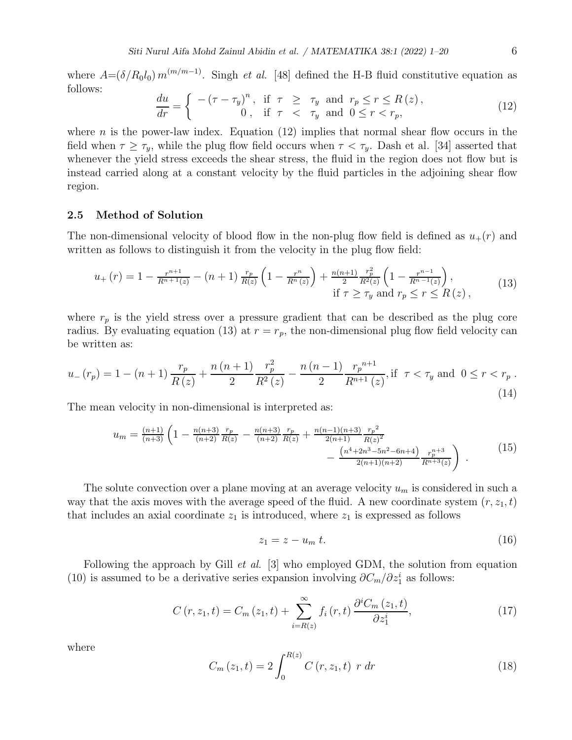where  $A = (\delta/R_0 l_0) m^{(m/m-1)}$ . Singh *et al.* [48] defined the H-B fluid constitutive equation as follows:

$$
\frac{du}{dr} = \begin{cases}\n-(\tau - \tau_y)^n, & \text{if } \tau \geq \tau_y \text{ and } r_p \leq r \leq R(z), \\
0, & \text{if } \tau < \tau_y \text{ and } 0 \leq r < r_p,\n\end{cases} \tag{12}
$$

where *n* is the power-law index. Equation  $(12)$  implies that normal shear flow occurs in the field when  $\tau \geq \tau_y$ , while the plug flow field occurs when  $\tau < \tau_y$ . Dash et al. [34] asserted that whenever the yield stress exceeds the shear stress, the fluid in the region does not flow but is instead carried along at a constant velocity by the fluid particles in the adjoining shear flow region.

#### 2.5 Method of Solution

The non-dimensional velocity of blood flow in the non-plug flow field is defined as  $u_{+}(r)$  and written as follows to distinguish it from the velocity in the plug flow field:

$$
u_{+}(r) = 1 - \frac{r^{n+1}}{R^{n+1}(z)} - (n+1) \frac{r_p}{R(z)} \left( 1 - \frac{r^n}{R^n(z)} \right) + \frac{n(n+1)}{2} \frac{r_p^2}{R^2(z)} \left( 1 - \frac{r^{n-1}}{R^{n-1}(z)} \right),
$$
  
if  $\tau \ge \tau_y$  and  $r_p \le r \le R(z)$ , (13)

where  $r_p$  is the yield stress over a pressure gradient that can be described as the plug core radius. By evaluating equation (13) at  $r = r_p$ , the non-dimensional plug flow field velocity can be written as:

$$
u_{-}(r_{p}) = 1 - (n+1)\frac{r_{p}}{R(z)} + \frac{n(n+1)}{2}\frac{r_{p}^{2}}{R^{2}(z)} - \frac{n(n-1)}{2}\frac{r_{p}^{n+1}}{R^{n+1}(z)}, \text{if } \tau < \tau_{y} \text{ and } 0 \le r < r_{p}.
$$
\n(14)

The mean velocity in non-dimensional is interpreted as:

$$
u_m = \frac{(n+1)}{(n+3)} \left( 1 - \frac{n(n+3)}{(n+2)} \frac{r_p}{R(z)} - \frac{n(n+3)}{(n+2)} \frac{r_p}{R(z)} + \frac{n(n-1)(n+3)}{2(n+1)} \frac{r_p^2}{R(z)^2} - \frac{\left(n^4 + 2n^3 - 5n^2 - 6n + 4\right)}{2(n+1)(n+2)} \frac{r_p^{n+3}}{R^{n+3}(z)} \right) \tag{15}
$$

The solute convection over a plane moving at an average velocity  $u_m$  is considered in such a way that the axis moves with the average speed of the fluid. A new coordinate system  $(r, z_1, t)$ that includes an axial coordinate  $z_1$  is introduced, where  $z_1$  is expressed as follows

$$
z_1 = z - u_m t. \tag{16}
$$

Following the approach by Gill *et al.* [3] who employed GDM, the solution from equation (10) is assumed to be a derivative series expansion involving  $\partial C_m/\partial z_1^i$  as follows:

$$
C(r, z_1, t) = C_m(z_1, t) + \sum_{i=R(z)}^{\infty} f_i(r, t) \frac{\partial^i C_m(z_1, t)}{\partial z_1^i},
$$
\n(17)

where

$$
C_m(z_1, t) = 2 \int_0^{R(z)} C(r, z_1, t) \ r \ dr \tag{18}
$$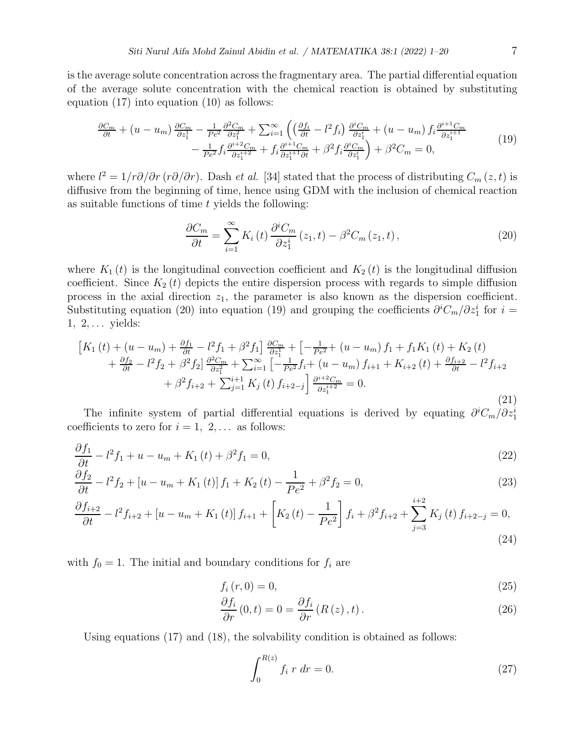is the average solute concentration across the fragmentary area. The partial differential equation of the average solute concentration with the chemical reaction is obtained by substituting equation (17) into equation (10) as follows:

$$
\frac{\partial C_m}{\partial t} + (u - u_m) \frac{\partial C_m}{\partial z_1^1} - \frac{1}{Pe^2} \frac{\partial^2 C_m}{\partial z_1^2} + \sum_{i=1}^{\infty} \left( \left( \frac{\partial f_i}{\partial t} - l^2 f_i \right) \frac{\partial^i C_m}{\partial z_1^i} + (u - u_m) f_i \frac{\partial^{i+1} C_m}{\partial z_1^{i+1}} - \frac{1}{Pe^2} f_i \frac{\partial^{i+2} C_m}{\partial z_1^{i+2}} + f_i \frac{\partial^{i+1} C_m}{\partial z_1^{i+1} \partial t} + \beta^2 f_i \frac{\partial^i C_m}{\partial z_1^i} \right) + \beta^2 C_m = 0,
$$
\n(19)

where  $l^2 = 1/r\partial/\partial r(r\partial/\partial r)$ . Dash *et al.* [34] stated that the process of distributing  $C_m(z, t)$  is diffusive from the beginning of time, hence using GDM with the inclusion of chemical reaction as suitable functions of time  $t$  yields the following:

$$
\frac{\partial C_m}{\partial t} = \sum_{i=1}^{\infty} K_i(t) \frac{\partial^i C_m}{\partial z_1^i} (z_1, t) - \beta^2 C_m (z_1, t), \qquad (20)
$$

where  $K_1(t)$  is the longitudinal convection coefficient and  $K_2(t)$  is the longitudinal diffusion coefficient. Since  $K_2(t)$  depicts the entire dispersion process with regards to simple diffusion process in the axial direction  $z_1$ , the parameter is also known as the dispersion coefficient. Substituting equation (20) into equation (19) and grouping the coefficients  $\partial^i C_m / \partial z_1^i$  for  $i =$  $1, 2, \ldots$  yields:

$$
\begin{split}\n\left[K_{1}\left(t\right) + \left(u - u_{m}\right) + \frac{\partial f_{1}}{\partial t} - l^{2} f_{1} + \beta^{2} f_{1}\right] \frac{\partial C_{m}}{\partial z_{1}^{1}} + \left[-\frac{1}{Pe^{2}} + \left(u - u_{m}\right) f_{1} + f_{1} K_{1}\left(t\right) + K_{2}\left(t\right) \right. \\
\left. + \frac{\partial f_{2}}{\partial t} - l^{2} f_{2} + \beta^{2} f_{2}\right] \frac{\partial^{2} C_{m}}{\partial z_{1}^{2}} + \sum_{i=1}^{\infty} \left[-\frac{1}{Pe^{2}} f_{i} + \left(u - u_{m}\right) f_{i+1} + K_{i+2}\left(t\right) + \frac{\partial f_{i+2}}{\partial t} - l^{2} f_{i+2} \right. \\
\left. + \beta^{2} f_{i+2} + \sum_{j=1}^{i+1} K_{j}\left(t\right) f_{i+2-j}\right] \frac{\partial^{i+2} C_{m}}{\partial z_{1}^{i+2}} = 0.\n\end{split} \tag{21}
$$

The infinite system of partial differential equations is derived by equating  $\partial^i C_m / \partial z_1^i$ coefficients to zero for  $i = 1, 2, \ldots$  as follows:

$$
\frac{\partial f_1}{\partial t} - l^2 f_1 + u - u_m + K_1(t) + \beta^2 f_1 = 0,
$$
\n(22)

$$
\frac{\partial f_2}{\partial t} - l^2 f_2 + \left[ u - u_m + K_1(t) \right] f_1 + K_2(t) - \frac{1}{\rho e^2} + \beta^2 f_2 = 0, \tag{23}
$$

$$
\frac{\partial f_{i+2}}{\partial t} - l^2 f_{i+2} + \left[ u - u_m + K_1(t) \right] f_{i+1} + \left[ K_2(t) - \frac{1}{Pe^2} \right] f_i + \beta^2 f_{i+2} + \sum_{j=3}^{i+2} K_j(t) f_{i+2-j} = 0,
$$
\n(24)

with  $f_0 = 1$ . The initial and boundary conditions for  $f_i$  are

$$
f_i(r,0) = 0,\t\t(25)
$$

$$
\frac{\partial f_i}{\partial r}(0,t) = 0 = \frac{\partial f_i}{\partial r}(R(z),t).
$$
\n(26)

Using equations (17) and (18), the solvability condition is obtained as follows:

$$
\int_0^{R(z)} f_i \, r \, dr = 0. \tag{27}
$$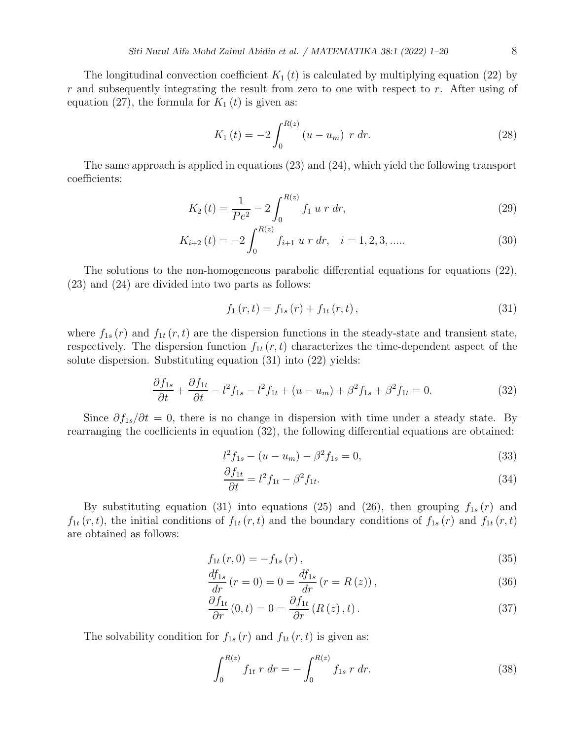The longitudinal convection coefficient  $K_1(t)$  is calculated by multiplying equation (22) by r and subsequently integrating the result from zero to one with respect to r. After using of equation (27), the formula for  $K_1(t)$  is given as:

$$
K_1(t) = -2 \int_0^{R(z)} (u - u_m) r dr.
$$
 (28)

The same approach is applied in equations (23) and (24), which yield the following transport coefficients:

$$
K_2(t) = \frac{1}{Pe^2} - 2 \int_0^{R(z)} f_1 \, u \, r \, dr,\tag{29}
$$

$$
K_{i+2}(t) = -2 \int_0^{R(z)} f_{i+1} u r dr, \quad i = 1, 2, 3, \dots
$$
 (30)

The solutions to the non-homogeneous parabolic differential equations for equations (22), (23) and (24) are divided into two parts as follows:

$$
f_1(r,t) = f_{1s}(r) + f_{1t}(r,t),
$$
\n(31)

where  $f_{1s}(r)$  and  $f_{1t}(r,t)$  are the dispersion functions in the steady-state and transient state, respectively. The dispersion function  $f_{1t}(r,t)$  characterizes the time-dependent aspect of the solute dispersion. Substituting equation (31) into (22) yields:

$$
\frac{\partial f_{1s}}{\partial t} + \frac{\partial f_{1t}}{\partial t} - l^2 f_{1s} - l^2 f_{1t} + (u - u_m) + \beta^2 f_{1s} + \beta^2 f_{1t} = 0.
$$
 (32)

Since  $\partial f_{1s}/\partial t = 0$ , there is no change in dispersion with time under a steady state. By rearranging the coefficients in equation (32), the following differential equations are obtained:

$$
l^2 f_{1s} - (u - u_m) - \beta^2 f_{1s} = 0,
$$
\n(33)

$$
\frac{\partial f_{1t}}{\partial t} = l^2 f_{1t} - \beta^2 f_{1t}.\tag{34}
$$

By substituting equation (31) into equations (25) and (26), then grouping  $f_{1s}(r)$  and  $f_{1t}(r,t)$ , the initial conditions of  $f_{1t}(r,t)$  and the boundary conditions of  $f_{1s}(r)$  and  $f_{1t}(r,t)$ are obtained as follows:

$$
f_{1t}(r,0) = -f_{1s}(r),
$$
\n(35)

$$
\frac{df_{1s}}{dr}(r=0) = 0 = \frac{df_{1s}}{dr}(r=R(z)),
$$
\n(36)

$$
\frac{\partial f_{1t}}{\partial r}(0,t) = 0 = \frac{\partial f_{1t}}{\partial r}(R(z),t).
$$
\n(37)

The solvability condition for  $f_{1s}(r)$  and  $f_{1t}(r,t)$  is given as:

$$
\int_0^{R(z)} f_{1t} r dr = - \int_0^{R(z)} f_{1s} r dr.
$$
 (38)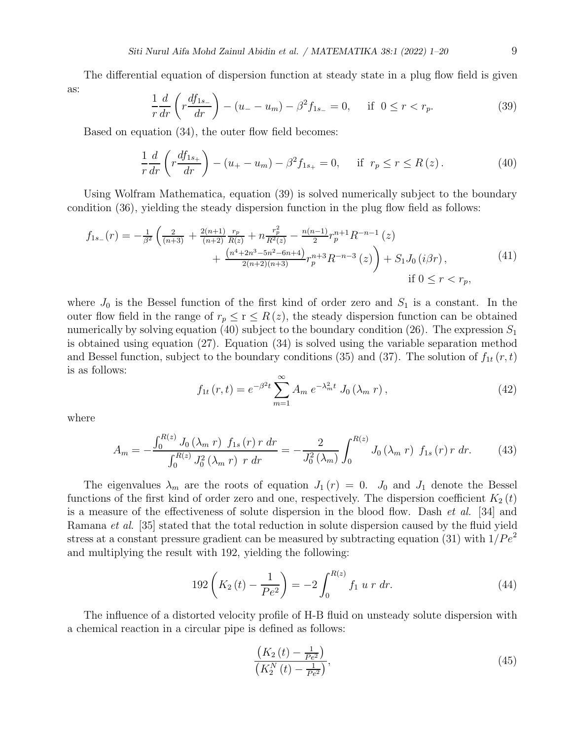The differential equation of dispersion function at steady state in a plug flow field is given as:

$$
\frac{1}{r}\frac{d}{dr}\left(r\frac{df_{1s_{-}}}{dr}\right) - (u_{-} - u_{m}) - \beta^{2}f_{1s_{-}} = 0, \quad \text{if } 0 \le r < r_{p}.
$$
\n(39)

Based on equation (34), the outer flow field becomes:

$$
\frac{1}{r}\frac{d}{dr}\left(r\frac{df_{1s+}}{dr}\right) - (u_{+} - u_{m}) - \beta^{2}f_{1s+} = 0, \quad \text{if } r_{p} \le r \le R(z). \tag{40}
$$

Using Wolfram Mathematica, equation (39) is solved numerically subject to the boundary condition (36), yielding the steady dispersion function in the plug flow field as follows:

$$
f_{1s_{-}}(r) = -\frac{1}{\beta^{2}} \left( \frac{2}{(n+3)} + \frac{2(n+1)}{(n+2)} \frac{r_{p}}{R(z)} + n \frac{r_{p}^{2}}{R^{2}(z)} - \frac{n(n-1)}{2} r_{p}^{n+1} R^{-n-1} (z) + \frac{(n^{4}+2n^{3}-5n^{2}-6n+4)}{2(n+2)(n+3)} r_{p}^{n+3} R^{-n-3} (z) \right) + S_{1} J_{0} (i\beta r),
$$
\n(41)\n
$$
\text{if } 0 \leq r < r_{p},
$$

where  $J_0$  is the Bessel function of the first kind of order zero and  $S_1$  is a constant. In the outer flow field in the range of  $r_p \le r \le R(z)$ , the steady dispersion function can be obtained numerically by solving equation (40) subject to the boundary condition (26). The expression  $S_1$ is obtained using equation (27). Equation (34) is solved using the variable separation method and Bessel function, subject to the boundary conditions (35) and (37). The solution of  $f_{1t}(r, t)$ is as follows:

$$
f_{1t}(r,t) = e^{-\beta^2 t} \sum_{m=1}^{\infty} A_m e^{-\lambda_m^2 t} J_0(\lambda_m r), \qquad (42)
$$

where

$$
A_m = -\frac{\int_0^{R(z)} J_0(\lambda_m \, r) \, f_{1s}(r) \, r \, dr}{\int_0^{R(z)} J_0^2(\lambda_m \, r) \, r \, dr} = -\frac{2}{J_0^2(\lambda_m)} \int_0^{R(z)} J_0(\lambda_m \, r) \, f_{1s}(r) \, r \, dr. \tag{43}
$$

The eigenvalues  $\lambda_m$  are the roots of equation  $J_1(r) = 0$ .  $J_0$  and  $J_1$  denote the Bessel functions of the first kind of order zero and one, respectively. The dispersion coefficient  $K_2(t)$ is a measure of the effectiveness of solute dispersion in the blood flow. Dash *et al.* [34] and Ramana et al. [35] stated that the total reduction in solute dispersion caused by the fluid yield stress at a constant pressure gradient can be measured by subtracting equation (31) with  $1/Pe^2$ and multiplying the result with 192, yielding the following:

$$
192\left(K_2\left(t\right) - \frac{1}{Pe^2}\right) = -2\int_0^{R(z)} f_1 \, u \, r \, dr. \tag{44}
$$

The influence of a distorted velocity profile of H-B fluid on unsteady solute dispersion with a chemical reaction in a circular pipe is defined as follows:

$$
\frac{\left(K_2\left(t\right) - \frac{1}{Pe^2}\right)}{\left(K_2^N\left(t\right) - \frac{1}{Pe^2}\right)},\tag{45}
$$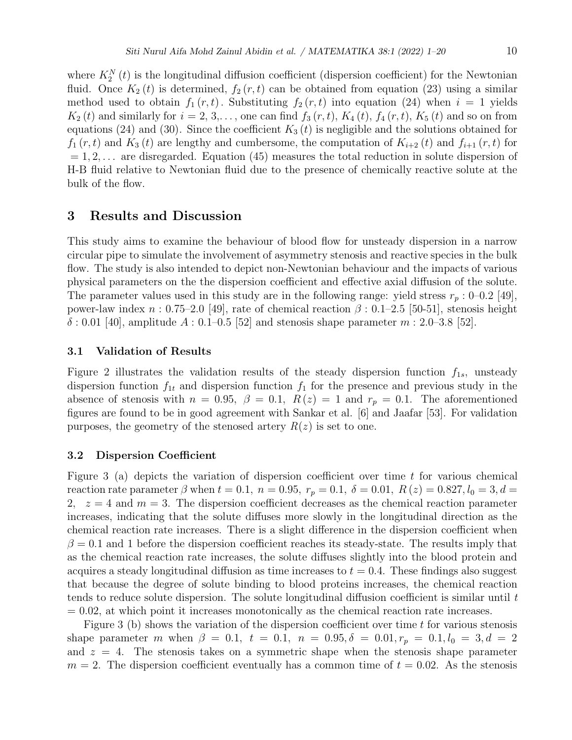where  $K_2^N(t)$  is the longitudinal diffusion coefficient (dispersion coefficient) for the Newtonian fluid. Once  $K_2(t)$  is determined,  $f_2(r,t)$  can be obtained from equation (23) using a similar method used to obtain  $f_1(r, t)$ . Substituting  $f_2(r, t)$  into equation (24) when  $i = 1$  yields  $K_2(t)$  and similarly for  $i = 2, 3, \ldots$ , one can find  $f_3(r, t)$ ,  $K_4(t)$ ,  $f_4(r, t)$ ,  $K_5(t)$  and so on from equations (24) and (30). Since the coefficient  $K_3(t)$  is negligible and the solutions obtained for  $f_1(r, t)$  and  $K_3(t)$  are lengthy and cumbersome, the computation of  $K_{i+2}(t)$  and  $f_{i+1}(r, t)$  for  $= 1, 2, \ldots$  are disregarded. Equation (45) measures the total reduction in solute dispersion of H-B fluid relative to Newtonian fluid due to the presence of chemically reactive solute at the bulk of the flow.

## 3 Results and Discussion

This study aims to examine the behaviour of blood flow for unsteady dispersion in a narrow circular pipe to simulate the involvement of asymmetry stenosis and reactive species in the bulk flow. The study is also intended to depict non-Newtonian behaviour and the impacts of various physical parameters on the the dispersion coefficient and effective axial diffusion of the solute. The parameter values used in this study are in the following range: yield stress  $r_p$ : 0–0.2 [49], power-law index  $n: 0.75-2.0$  [49], rate of chemical reaction  $\beta: 0.1-2.5$  [50-51], stenosis height  $\delta$ : 0.01 [40], amplitude A : 0.1–0.5 [52] and stenosis shape parameter  $m$  : 2.0–3.8 [52].

### 3.1 Validation of Results

Figure 2 illustrates the validation results of the steady dispersion function  $f_{1s}$ , unsteady dispersion function  $f_{1t}$  and dispersion function  $f_1$  for the presence and previous study in the absence of stenosis with  $n = 0.95$ ,  $\beta = 0.1$ ,  $R(z) = 1$  and  $r_p = 0.1$ . The aforementioned figures are found to be in good agreement with Sankar et al. [6] and Jaafar [53]. For validation purposes, the geometry of the stenosed artery  $R(z)$  is set to one.

### 3.2 Dispersion Coefficient

Figure 3 (a) depicts the variation of dispersion coefficient over time  $t$  for various chemical reaction rate parameter  $\beta$  when  $t = 0.1$ ,  $n = 0.95$ ,  $r_p = 0.1$ ,  $\delta = 0.01$ ,  $R(z) = 0.827$ ,  $l_0 = 3$ ,  $d =$ 2,  $z = 4$  and  $m = 3$ . The dispersion coefficient decreases as the chemical reaction parameter increases, indicating that the solute diffuses more slowly in the longitudinal direction as the chemical reaction rate increases. There is a slight difference in the dispersion coefficient when  $\beta = 0.1$  and 1 before the dispersion coefficient reaches its steady-state. The results imply that as the chemical reaction rate increases, the solute diffuses slightly into the blood protein and acquires a steady longitudinal diffusion as time increases to  $t = 0.4$ . These findings also suggest that because the degree of solute binding to blood proteins increases, the chemical reaction tends to reduce solute dispersion. The solute longitudinal diffusion coefficient is similar until t  $= 0.02$ , at which point it increases monotonically as the chemical reaction rate increases.

Figure 3 (b) shows the variation of the dispersion coefficient over time  $t$  for various stenosis shape parameter m when  $\beta = 0.1$ ,  $t = 0.1$ ,  $n = 0.95$ ,  $\delta = 0.01$ ,  $r_p = 0.1$ ,  $l_0 = 3$ ,  $d = 2$ and  $z = 4$ . The stenosis takes on a symmetric shape when the stenosis shape parameter  $m = 2$ . The dispersion coefficient eventually has a common time of  $t = 0.02$ . As the stenosis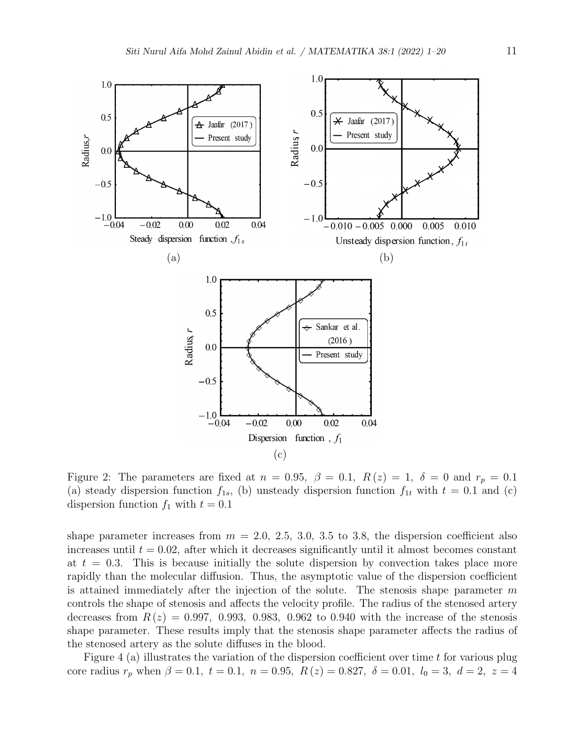

Figure 2: The parameters are fixed at  $n = 0.95$ ,  $\beta = 0.1$ ,  $R(z) = 1$ ,  $\delta = 0$  and  $r_p = 0.1$ (a) steady dispersion function  $f_{1s}$ , (b) unsteady dispersion function  $f_{1t}$  with  $t = 0.1$  and (c) dispersion function  $f_1$  with  $t = 0.1$ 

shape parameter increases from  $m = 2.0, 2.5, 3.0, 3.5$  to 3.8, the dispersion coefficient also increases until  $t = 0.02$ , after which it decreases significantly until it almost becomes constant at  $t = 0.3$ . This is because initially the solute dispersion by convection takes place more rapidly than the molecular diffusion. Thus, the asymptotic value of the dispersion coefficient is attained immediately after the injection of the solute. The stenosis shape parameter  $m$ controls the shape of stenosis and affects the velocity profile. The radius of the stenosed artery decreases from  $R(z) = 0.997, 0.993, 0.983, 0.962$  to 0.940 with the increase of the stenosis shape parameter. These results imply that the stenosis shape parameter affects the radius of the stenosed artery as the solute diffuses in the blood.

Figure 4 (a) illustrates the variation of the dispersion coefficient over time t for various plug core radius  $r_p$  when  $\beta = 0.1$ ,  $t = 0.1$ ,  $n = 0.95$ ,  $R(z) = 0.827$ ,  $\delta = 0.01$ ,  $l_0 = 3$ ,  $d = 2$ ,  $z = 4$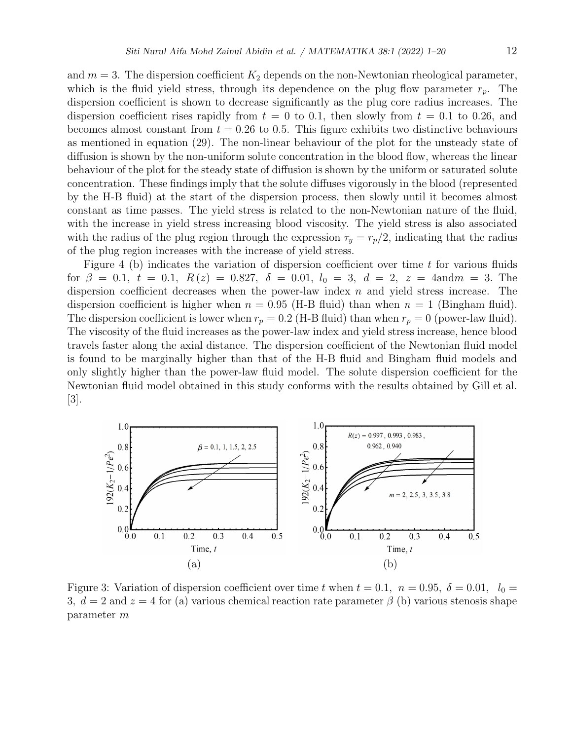and  $m = 3$ . The dispersion coefficient  $K_2$  depends on the non-Newtonian rheological parameter, which is the fluid yield stress, through its dependence on the plug flow parameter  $r_p$ . The dispersion coefficient is shown to decrease significantly as the plug core radius increases. The dispersion coefficient rises rapidly from  $t = 0$  to 0.1, then slowly from  $t = 0.1$  to 0.26, and becomes almost constant from  $t = 0.26$  to 0.5. This figure exhibits two distinctive behaviours as mentioned in equation (29). The non-linear behaviour of the plot for the unsteady state of diffusion is shown by the non-uniform solute concentration in the blood flow, whereas the linear behaviour of the plot for the steady state of diffusion is shown by the uniform or saturated solute concentration. These findings imply that the solute diffuses vigorously in the blood (represented by the H-B fluid) at the start of the dispersion process, then slowly until it becomes almost constant as time passes. The yield stress is related to the non-Newtonian nature of the fluid, with the increase in yield stress increasing blood viscosity. The yield stress is also associated

Figure 4 (b) indicates the variation of dispersion coefficient over time  $t$  for various fluids for  $\beta = 0.1$ ,  $t = 0.1$ ,  $R(z) = 0.827$ ,  $\delta = 0.01$ ,  $l_0 = 3$ ,  $d = 2$ ,  $z = 4$ andm = 3. The dispersion coefficient decreases when the power-law index  $n$  and yield stress increase. The dispersion coefficient is higher when  $n = 0.95$  (H-B fluid) than when  $n = 1$  (Bingham fluid). The dispersion coefficient is lower when  $r_p = 0.2$  (H-B fluid) than when  $r_p = 0$  (power-law fluid). The viscosity of the fluid increases as the power-law index and yield stress increase, hence blood travels faster along the axial distance. The dispersion coefficient of the Newtonian fluid model is found to be marginally higher than that of the H-B fluid and Bingham fluid models and only slightly higher than the power-law fluid model. The solute dispersion coefficient for the Newtonian fluid model obtained in this study conforms with the results obtained by Gill et al. [3].

with the radius of the plug region through the expression  $\tau_y = r_p/2$ , indicating that the radius

of the plug region increases with the increase of yield stress.



Figure 3: Variation of dispersion coefficient over time t when  $t = 0.1$ ,  $n = 0.95$ ,  $\delta = 0.01$ ,  $l_0 =$ 3,  $d = 2$  and  $z = 4$  for (a) various chemical reaction rate parameter  $\beta$  (b) various stenosis shape parameter m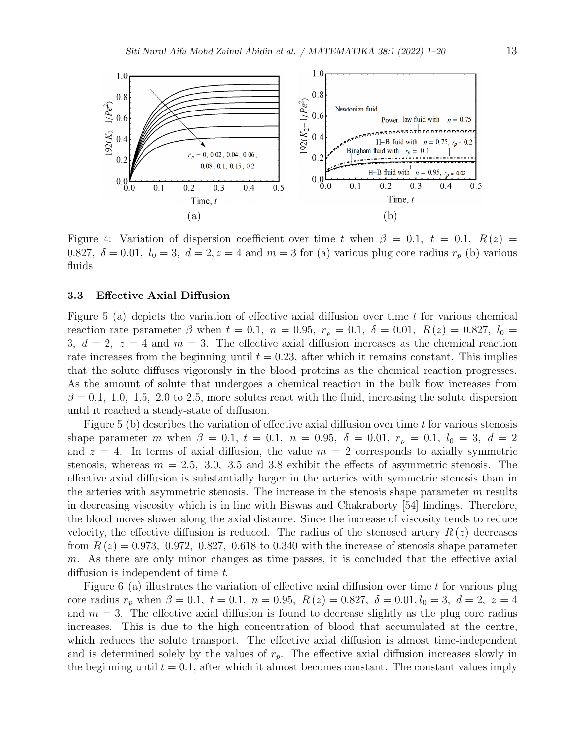

Figure 4: Variation of dispersion coefficient over time t when  $\beta = 0.1$ ,  $t = 0.1$ ,  $R(z) =$ 0.827,  $\delta = 0.01$ ,  $l_0 = 3$ ,  $d = 2$ ,  $z = 4$  and  $m = 3$  for (a) various plug core radius  $r_p$  (b) various fluids

#### 3.3 Effective Axial Diffusion

Figure 5 (a) depicts the variation of effective axial diffusion over time  $t$  for various chemical reaction rate parameter  $\beta$  when  $t = 0.1$ ,  $n = 0.95$ ,  $r_p = 0.1$ ,  $\delta = 0.01$ ,  $R(z) = 0.827$ ,  $l_0 =$ 3,  $d = 2$ ,  $z = 4$  and  $m = 3$ . The effective axial diffusion increases as the chemical reaction rate increases from the beginning until  $t = 0.23$ , after which it remains constant. This implies that the solute diffuses vigorously in the blood proteins as the chemical reaction progresses. As the amount of solute that undergoes a chemical reaction in the bulk flow increases from  $\beta = 0.1, 1.0, 1.5, 2.0$  to 2.5, more solutes react with the fluid, increasing the solute dispersion until it reached a steady-state of diffusion.

Figure 5 (b) describes the variation of effective axial diffusion over time  $t$  for various stenosis shape parameter m when  $\beta = 0.1$ ,  $t = 0.1$ ,  $n = 0.95$ ,  $\delta = 0.01$ ,  $r_p = 0.1$ ,  $l_0 = 3$ ,  $d = 2$ and  $z = 4$ . In terms of axial diffusion, the value  $m = 2$  corresponds to axially symmetric stenosis, whereas  $m = 2.5, 3.0, 3.5, \text{ and } 3.8$  exhibit the effects of asymmetric stenosis. The effective axial diffusion is substantially larger in the arteries with symmetric stenosis than in the arteries with asymmetric stenosis. The increase in the stenosis shape parameter  $m$  results in decreasing viscosity which is in line with Biswas and Chakraborty [54] findings. Therefore, the blood moves slower along the axial distance. Since the increase of viscosity tends to reduce velocity, the effective diffusion is reduced. The radius of the stenosed artery  $R(z)$  decreases from  $R(z) = 0.973, 0.972, 0.827, 0.618$  to 0.340 with the increase of stenosis shape parameter m. As there are only minor changes as time passes, it is concluded that the effective axial diffusion is independent of time t.

Figure 6 (a) illustrates the variation of effective axial diffusion over time  $t$  for various plug core radius  $r_p$  when  $\beta = 0.1$ ,  $t = 0.1$ ,  $n = 0.95$ ,  $R(z) = 0.827$ ,  $\delta = 0.01$ ,  $l_0 = 3$ ,  $d = 2$ ,  $z = 4$ and  $m = 3$ . The effective axial diffusion is found to decrease slightly as the plug core radius increases. This is due to the high concentration of blood that accumulated at the centre, which reduces the solute transport. The effective axial diffusion is almost time-independent and is determined solely by the values of  $r_p$ . The effective axial diffusion increases slowly in the beginning until  $t = 0.1$ , after which it almost becomes constant. The constant values imply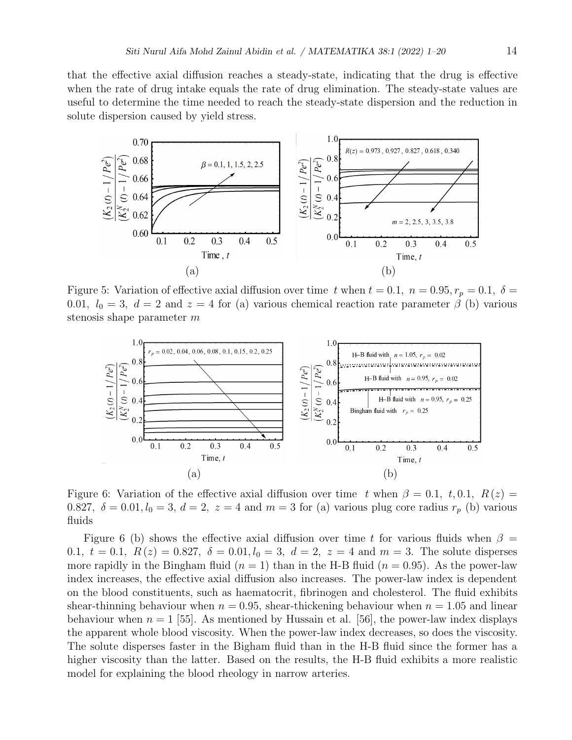that the effective axial diffusion reaches a steady-state, indicating that the drug is effective when the rate of drug intake equals the rate of drug elimination. The steady-state values are useful to determine the time needed to reach the steady-state dispersion and the reduction in solute dispersion caused by yield stress.



Figure 5: Variation of effective axial diffusion over time t when  $t = 0.1, n = 0.95, r_p = 0.1, \delta =$ 0.01,  $l_0 = 3$ ,  $d = 2$  and  $z = 4$  for (a) various chemical reaction rate parameter  $\beta$  (b) various stenosis shape parameter m



Figure 6: Variation of the effective axial diffusion over time t when  $\beta = 0.1, t, 0.1, R(z) =$ 0.827,  $\delta = 0.01, l_0 = 3, d = 2, z = 4$  and  $m = 3$  for (a) various plug core radius  $r_p$  (b) various fluids

Figure 6 (b) shows the effective axial diffusion over time t for various fluids when  $\beta =$ 0.1,  $t = 0.1$ ,  $R(z) = 0.827$ ,  $\delta = 0.01$ ,  $l_0 = 3$ ,  $d = 2$ ,  $z = 4$  and  $m = 3$ . The solute disperses more rapidly in the Bingham fluid  $(n = 1)$  than in the H-B fluid  $(n = 0.95)$ . As the power-law index increases, the effective axial diffusion also increases. The power-law index is dependent on the blood constituents, such as haematocrit, fibrinogen and cholesterol. The fluid exhibits shear-thinning behaviour when  $n = 0.95$ , shear-thickening behaviour when  $n = 1.05$  and linear behaviour when  $n = 1$  [55]. As mentioned by Hussain et al. [56], the power-law index displays the apparent whole blood viscosity. When the power-law index decreases, so does the viscosity. The solute disperses faster in the Bigham fluid than in the H-B fluid since the former has a higher viscosity than the latter. Based on the results, the H-B fluid exhibits a more realistic model for explaining the blood rheology in narrow arteries.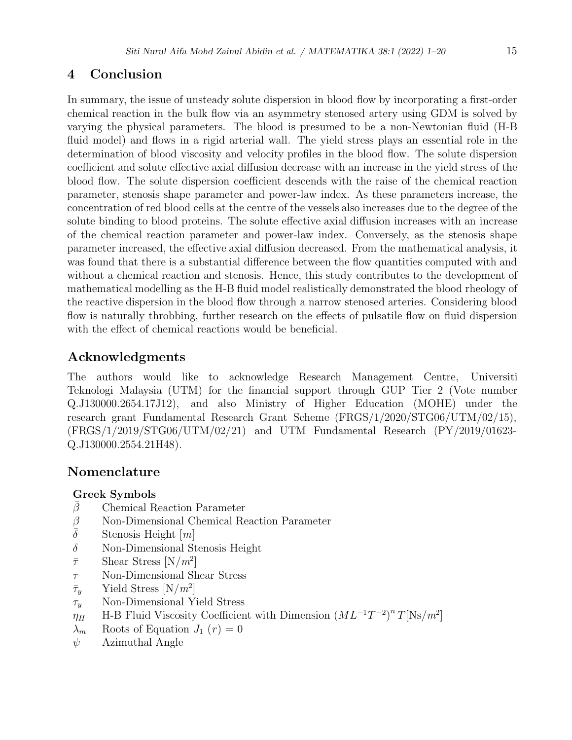# 4 Conclusion

In summary, the issue of unsteady solute dispersion in blood flow by incorporating a first-order chemical reaction in the bulk flow via an asymmetry stenosed artery using GDM is solved by varying the physical parameters. The blood is presumed to be a non-Newtonian fluid (H-B fluid model) and flows in a rigid arterial wall. The yield stress plays an essential role in the determination of blood viscosity and velocity profiles in the blood flow. The solute dispersion coefficient and solute effective axial diffusion decrease with an increase in the yield stress of the blood flow. The solute dispersion coefficient descends with the raise of the chemical reaction parameter, stenosis shape parameter and power-law index. As these parameters increase, the concentration of red blood cells at the centre of the vessels also increases due to the degree of the solute binding to blood proteins. The solute effective axial diffusion increases with an increase of the chemical reaction parameter and power-law index. Conversely, as the stenosis shape parameter increased, the effective axial diffusion decreased. From the mathematical analysis, it was found that there is a substantial difference between the flow quantities computed with and without a chemical reaction and stenosis. Hence, this study contributes to the development of mathematical modelling as the H-B fluid model realistically demonstrated the blood rheology of the reactive dispersion in the blood flow through a narrow stenosed arteries. Considering blood flow is naturally throbbing, further research on the effects of pulsatile flow on fluid dispersion with the effect of chemical reactions would be beneficial.

# Acknowledgments

The authors would like to acknowledge Research Management Centre, Universiti Teknologi Malaysia (UTM) for the financial support through GUP Tier 2 (Vote number Q.J130000.2654.17J12), and also Ministry of Higher Education (MOHE) under the research grant Fundamental Research Grant Scheme (FRGS/1/2020/STG06/UTM/02/15), (FRGS/1/2019/STG06/UTM/02/21) and UTM Fundamental Research (PY/2019/01623- Q.J130000.2554.21H48).

## Nomenclature

## Greek Symbols

- $\beta$  Chemical Reaction Parameter
- $β$  Non-Dimensional Chemical Reaction Parameter<br>
Stenosis Height [m]
- Stenosis Height  $[m]$
- $\delta$  Non-Dimensional Stenosis Height
- $\bar{\tau}$  Shear Stress  $[N/m^2]$
- τ Non-Dimensional Shear Stress
- $\bar{\tau}_y$  Yield Stress  $[N/m^2]$
- $\tau_y$  Non-Dimensional Yield Stress
- $\eta_H$  H-B Fluid Viscosity Coefficient with Dimension  $(ML^{-1}T^{-2})^n T[Ns/m^2]$
- $\lambda_m$  Roots of Equation  $J_1(r) = 0$
- $\psi$  Azimuthal Angle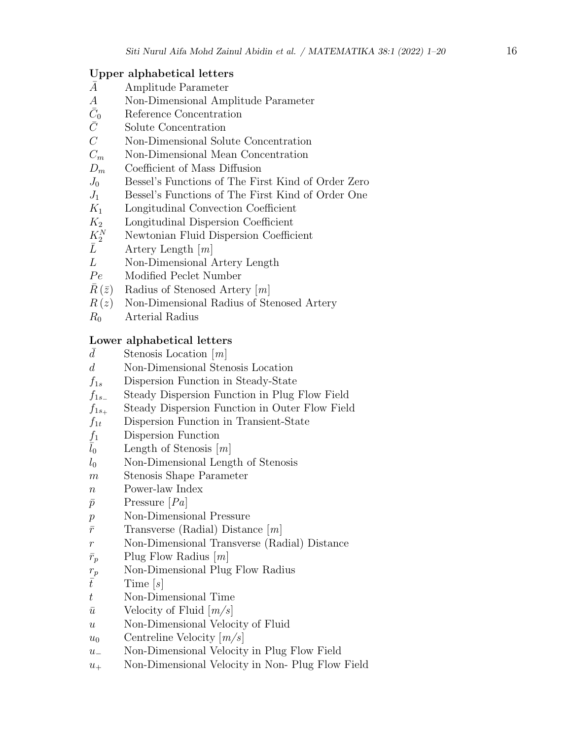## Upper alphabetical letters

- A¯ Amplitude Parameter
- A Non-Dimensional Amplitude Parameter
- $\bar{C}_0$ Reference Concentration
- $\bar{C}$  Solute Concentration
- C Non-Dimensional Solute Concentration
- $C_m$  Non-Dimensional Mean Concentration
- $D_m$  Coefficient of Mass Diffusion
- $J_0$  Bessel's Functions of The First Kind of Order Zero
- $J_1$  Bessel's Functions of The First Kind of Order One
- $K_1$  Longitudinal Convection Coefficient
- $K<sub>2</sub>$  Longitudinal Dispersion Coefficient
- $K^N_2$  $K_2^N$  Newtonian Fluid Dispersion Coefficient<br>  $\bar{L}$  Artery Length [*m*]
- Artery Length  $[m]$
- L Non-Dimensional Artery Length
- Pe Modified Peclet Number
- $\bar{R}(\bar{z})$  Radius of Stenosed Artery [m]
- $R(z)$  Non-Dimensional Radius of Stenosed Artery
- $R_0$  Arterial Radius

## Lower alphabetical letters

- $\overline{d}$  Stenosis Location  $[m]$
- d Non-Dimensional Stenosis Location
- $f_{1s}$  Dispersion Function in Steady-State
- $f_{1s-}$  Steady Dispersion Function in Plug Flow Field
- $f_{1s+}$  Steady Dispersion Function in Outer Flow Field
- $f_{1t}$  Dispersion Function in Transient-State
- $f_1$  Dispersion Function
- $\bar{l}_0$  Length of Stenosis  $[m]$
- $l_0$  Non-Dimensional Length of Stenosis
- m Stenosis Shape Parameter
- n Power-law Index
- $\bar{p}$  Pressure [Pa]
- p Non-Dimensional Pressure
- $\bar{r}$  Transverse (Radial) Distance  $[m]$
- r Non-Dimensional Transverse (Radial) Distance
- $\bar{r}_p$  Plug Flow Radius  $[m]$
- $r_p$  Non-Dimensional Plug Flow Radius
- $\bar{t}$  Time [s]
- t Non-Dimensional Time
- $\bar{u}$  Velocity of Fluid  $[m/s]$
- u Non-Dimensional Velocity of Fluid
- $u_0$  Centreline Velocity  $\lfloor m/s \rfloor$
- u<sup>−</sup> Non-Dimensional Velocity in Plug Flow Field
- $u_+$  Non-Dimensional Velocity in Non-Plug Flow Field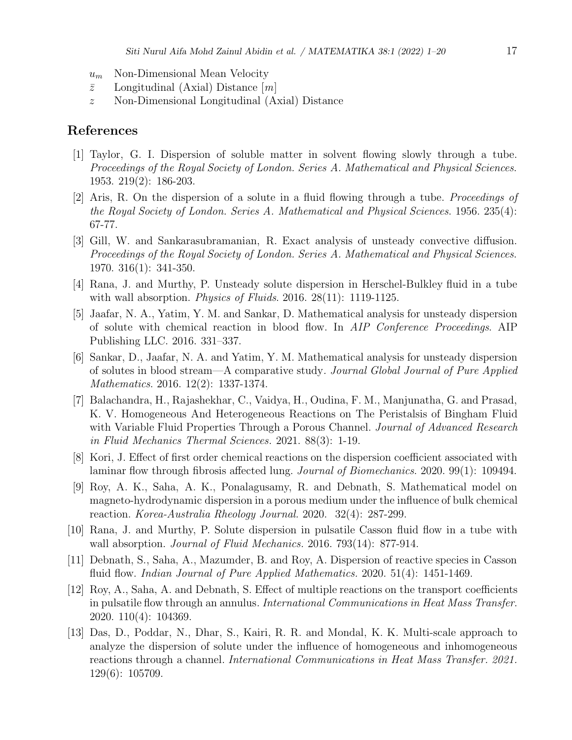- $u_m$  Non-Dimensional Mean Velocity
- $\bar{z}$  Longitudinal (Axial) Distance  $[m]$
- z Non-Dimensional Longitudinal (Axial) Distance

## References

- [1] Taylor, G. I. Dispersion of soluble matter in solvent flowing slowly through a tube. Proceedings of the Royal Society of London. Series A. Mathematical and Physical Sciences. 1953. 219(2): 186-203.
- [2] Aris, R. On the dispersion of a solute in a fluid flowing through a tube. Proceedings of the Royal Society of London. Series A. Mathematical and Physical Sciences. 1956. 235(4): 67-77.
- [3] Gill, W. and Sankarasubramanian, R. Exact analysis of unsteady convective diffusion. Proceedings of the Royal Society of London. Series A. Mathematical and Physical Sciences. 1970. 316(1): 341-350.
- [4] Rana, J. and Murthy, P. Unsteady solute dispersion in Herschel-Bulkley fluid in a tube with wall absorption. *Physics of Fluids*. 2016. 28(11): 1119-1125.
- [5] Jaafar, N. A., Yatim, Y. M. and Sankar, D. Mathematical analysis for unsteady dispersion of solute with chemical reaction in blood flow. In AIP Conference Proceedings. AIP Publishing LLC. 2016. 331–337.
- [6] Sankar, D., Jaafar, N. A. and Yatim, Y. M. Mathematical analysis for unsteady dispersion of solutes in blood stream—A comparative study. Journal Global Journal of Pure Applied Mathematics. 2016. 12(2): 1337-1374.
- [7] Balachandra, H., Rajashekhar, C., Vaidya, H., Oudina, F. M., Manjunatha, G. and Prasad, K. V. Homogeneous And Heterogeneous Reactions on The Peristalsis of Bingham Fluid with Variable Fluid Properties Through a Porous Channel. Journal of Advanced Research in Fluid Mechanics Thermal Sciences. 2021. 88(3): 1-19.
- [8] Kori, J. Effect of first order chemical reactions on the dispersion coefficient associated with laminar flow through fibrosis affected lung. *Journal of Biomechanics*. 2020. 99(1): 109494.
- [9] Roy, A. K., Saha, A. K., Ponalagusamy, R. and Debnath, S. Mathematical model on magneto-hydrodynamic dispersion in a porous medium under the influence of bulk chemical reaction. Korea-Australia Rheology Journal. 2020. 32(4): 287-299.
- [10] Rana, J. and Murthy, P. Solute dispersion in pulsatile Casson fluid flow in a tube with wall absorption. *Journal of Fluid Mechanics.* 2016. 793(14): 877-914.
- [11] Debnath, S., Saha, A., Mazumder, B. and Roy, A. Dispersion of reactive species in Casson fluid flow. *Indian Journal of Pure Applied Mathematics.* 2020. 51(4): 1451-1469.
- [12] Roy, A., Saha, A. and Debnath, S. Effect of multiple reactions on the transport coefficients in pulsatile flow through an annulus. International Communications in Heat Mass Transfer. 2020. 110(4): 104369.
- [13] Das, D., Poddar, N., Dhar, S., Kairi, R. R. and Mondal, K. K. Multi-scale approach to analyze the dispersion of solute under the influence of homogeneous and inhomogeneous reactions through a channel. International Communications in Heat Mass Transfer. 2021. 129(6): 105709.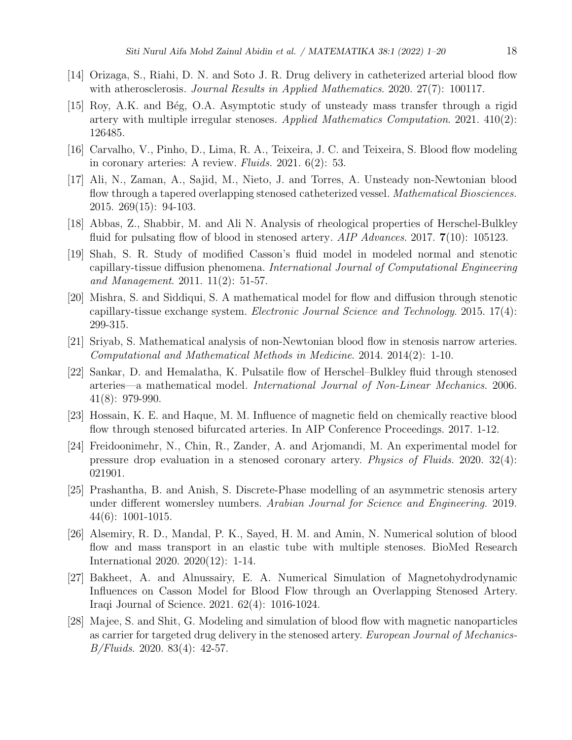- [14] Orizaga, S., Riahi, D. N. and Soto J. R. Drug delivery in catheterized arterial blood flow with atherosclerosis. Journal Results in Applied Mathematics. 2020. 27(7): 100117.
- [15] Roy, A.K. and Bég, O.A. Asymptotic study of unsteady mass transfer through a rigid artery with multiple irregular stenoses. Applied Mathematics Computation. 2021. 410(2): 126485.
- [16] Carvalho, V., Pinho, D., Lima, R. A., Teixeira, J. C. and Teixeira, S. Blood flow modeling in coronary arteries: A review. Fluids. 2021. 6(2): 53.
- [17] Ali, N., Zaman, A., Sajid, M., Nieto, J. and Torres, A. Unsteady non-Newtonian blood flow through a tapered overlapping stenosed catheterized vessel. *Mathematical Biosciences*. 2015. 269(15): 94-103.
- [18] Abbas, Z., Shabbir, M. and Ali N. Analysis of rheological properties of Herschel-Bulkley fluid for pulsating flow of blood in stenosed artery.  $AIP$  Advances. 2017.  $7(10)$ : 105123.
- [19] Shah, S. R. Study of modified Casson's fluid model in modeled normal and stenotic capillary-tissue diffusion phenomena. International Journal of Computational Engineering and Management. 2011. 11(2): 51-57.
- [20] Mishra, S. and Siddiqui, S. A mathematical model for flow and diffusion through stenotic capillary-tissue exchange system. Electronic Journal Science and Technology. 2015. 17(4): 299-315.
- [21] Sriyab, S. Mathematical analysis of non-Newtonian blood flow in stenosis narrow arteries. Computational and Mathematical Methods in Medicine. 2014. 2014(2): 1-10.
- [22] Sankar, D. and Hemalatha, K. Pulsatile flow of Herschel–Bulkley fluid through stenosed arteries—a mathematical model. International Journal of Non-Linear Mechanics. 2006. 41(8): 979-990.
- [23] Hossain, K. E. and Haque, M. M. Influence of magnetic field on chemically reactive blood flow through stenosed bifurcated arteries. In AIP Conference Proceedings. 2017. 1-12.
- [24] Freidoonimehr, N., Chin, R., Zander, A. and Arjomandi, M. An experimental model for pressure drop evaluation in a stenosed coronary artery. Physics of Fluids. 2020. 32(4): 021901.
- [25] Prashantha, B. and Anish, S. Discrete-Phase modelling of an asymmetric stenosis artery under different womersley numbers. Arabian Journal for Science and Engineering. 2019. 44(6): 1001-1015.
- [26] Alsemiry, R. D., Mandal, P. K., Sayed, H. M. and Amin, N. Numerical solution of blood flow and mass transport in an elastic tube with multiple stenoses. BioMed Research International 2020. 2020(12): 1-14.
- [27] Bakheet, A. and Alnussairy, E. A. Numerical Simulation of Magnetohydrodynamic Influences on Casson Model for Blood Flow through an Overlapping Stenosed Artery. Iraqi Journal of Science. 2021. 62(4): 1016-1024.
- [28] Majee, S. and Shit, G. Modeling and simulation of blood flow with magnetic nanoparticles as carrier for targeted drug delivery in the stenosed artery. European Journal of Mechanics-B/Fluids. 2020. 83(4): 42-57.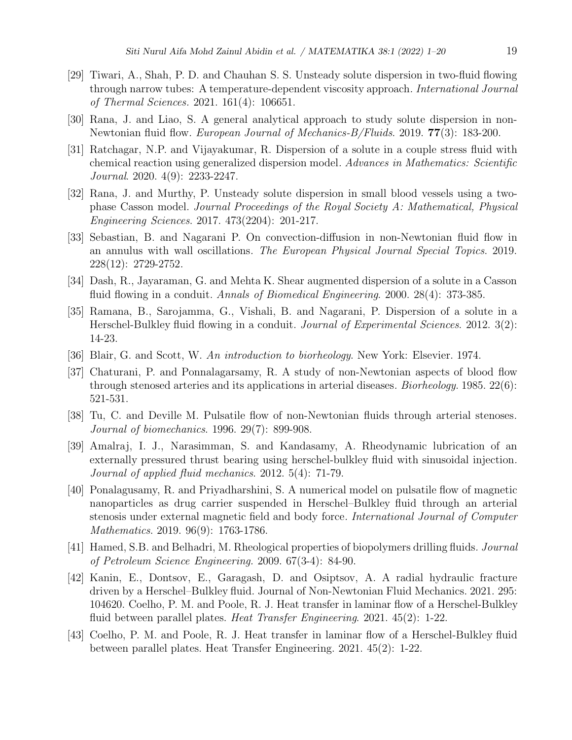- [29] Tiwari, A., Shah, P. D. and Chauhan S. S. Unsteady solute dispersion in two-fluid flowing through narrow tubes: A temperature-dependent viscosity approach. International Journal of Thermal Sciences. 2021. 161(4): 106651.
- [30] Rana, J. and Liao, S. A general analytical approach to study solute dispersion in non-Newtonian fluid flow. European Journal of Mechanics-B/Fluids. 2019. 77(3): 183-200.
- [31] Ratchagar, N.P. and Vijayakumar, R. Dispersion of a solute in a couple stress fluid with chemical reaction using generalized dispersion model. Advances in Mathematics: Scientific Journal. 2020. 4(9): 2233-2247.
- [32] Rana, J. and Murthy, P. Unsteady solute dispersion in small blood vessels using a twophase Casson model. Journal Proceedings of the Royal Society A: Mathematical, Physical Engineering Sciences. 2017. 473(2204): 201-217.
- [33] Sebastian, B. and Nagarani P. On convection-diffusion in non-Newtonian fluid flow in an annulus with wall oscillations. The European Physical Journal Special Topics. 2019. 228(12): 2729-2752.
- [34] Dash, R., Jayaraman, G. and Mehta K. Shear augmented dispersion of a solute in a Casson fluid flowing in a conduit. Annals of Biomedical Engineering. 2000. 28(4): 373-385.
- [35] Ramana, B., Sarojamma, G., Vishali, B. and Nagarani, P. Dispersion of a solute in a Herschel-Bulkley fluid flowing in a conduit. *Journal of Experimental Sciences*. 2012. 3(2): 14-23.
- [36] Blair, G. and Scott, W. An introduction to biorheology. New York: Elsevier. 1974.
- [37] Chaturani, P. and Ponnalagarsamy, R. A study of non-Newtonian aspects of blood flow through stenosed arteries and its applications in arterial diseases. *Biorheology*. 1985.  $22(6)$ : 521-531.
- [38] Tu, C. and Deville M. Pulsatile flow of non-Newtonian fluids through arterial stenoses. Journal of biomechanics. 1996. 29(7): 899-908.
- [39] Amalraj, I. J., Narasimman, S. and Kandasamy, A. Rheodynamic lubrication of an externally pressured thrust bearing using herschel-bulkley fluid with sinusoidal injection. Journal of applied fluid mechanics. 2012. 5(4): 71-79.
- [40] Ponalagusamy, R. and Priyadharshini, S. A numerical model on pulsatile flow of magnetic nanoparticles as drug carrier suspended in Herschel–Bulkley fluid through an arterial stenosis under external magnetic field and body force. International Journal of Computer Mathematics. 2019. 96(9): 1763-1786.
- [41] Hamed, S.B. and Belhadri, M. Rheological properties of biopolymers drilling fluids. Journal of Petroleum Science Engineering. 2009. 67(3-4): 84-90.
- [42] Kanin, E., Dontsov, E., Garagash, D. and Osiptsov, A. A radial hydraulic fracture driven by a Herschel–Bulkley fluid. Journal of Non-Newtonian Fluid Mechanics. 2021. 295: 104620. Coelho, P. M. and Poole, R. J. Heat transfer in laminar flow of a Herschel-Bulkley fluid between parallel plates. Heat Transfer Engineering. 2021.  $45(2)$ : 1-22.
- [43] Coelho, P. M. and Poole, R. J. Heat transfer in laminar flow of a Herschel-Bulkley fluid between parallel plates. Heat Transfer Engineering. 2021. 45(2): 1-22.